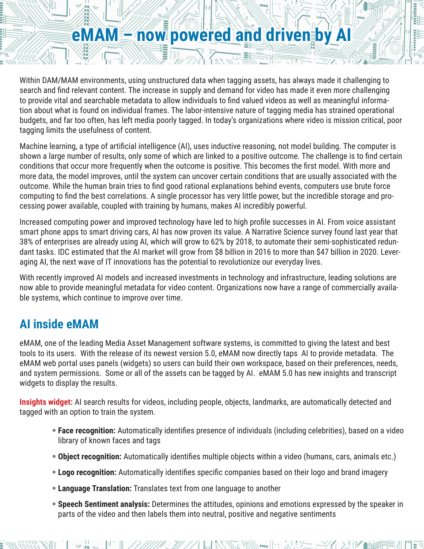## **eMAM – now powered and driven by AI**

**ANTICOLOGY AND THE PARTY OF STATE** 

Within DAM/MAM environments, using unstructured data when tagging assets, has always made it challenging to search and find relevant content. The increase in supply and demand for video has made it even more challenging to provide vital and searchable metadata to allow individuals to find valued videos as well as meaningful information about what is found on individual frames. The labor-intensive nature of tagging media has strained operational budgets, and far too often, has left media poorly tagged. In today's organizations where video is mission critical, poor tagging limits the usefulness of content.

Machine learning, a type of artificial intelligence (AI), uses inductive reasoning, not model building. The computer is shown a large number of results, only some of which are linked to a positive outcome. The challenge is to find certain conditions that occur more frequently when the outcome is positive. This becomes the first model. With more and more data, the model improves, until the system can uncover certain conditions that are usually associated with the outcome. While the human brain tries to find good rational explanations behind events, computers use brute force computing to find the best correlations. A single processor has very little power, but the incredible storage and processing power available, coupled with training by humans, makes AI incredibly powerful.

Increased computing power and improved technology have led to high profile successes in AI. From voice assistant smart phone apps to smart driving cars, AI has now proven its value. A Narrative Science survey found last year that 38% of enterprises are already using AI, which will grow to 62% by 2018, to automate their semi-sophisticated redundant tasks. IDC estimated that the AI market will grow from \$8 billion in 2016 to more than \$47 billion in 2020. Leveraging AI, the next wave of IT innovations has the potential to revolutionize our everyday lives.

With recently improved AI models and increased investments in technology and infrastructure, leading solutions are now able to provide meaningful metadata for video content. Organizations now have a range of commercially available systems, which continue to improve over time.

## **AI inside eMAM**

eMAM, one of the leading Media Asset Management software systems, is committed to giving the latest and best tools to its users. With the release of its newest version 5.0, eMAM now directly taps AI to provide metadata. The eMAM web portal uses panels (widgets) so users can build their own workspace, based on their preferences, needs, and system permissions. Some or all of the assets can be tagged by AI. eMAM 5.0 has new insights and transcript widgets to display the results.

**Insights widget:** AI search results for videos, including people, objects, landmarks, are automatically detected and tagged with an option to train the system.

- **Face recognition:** Automatically identifies presence of individuals (including celebrities), based on a video library of known faces and tags
- **Object recognition:** Automatically identifies multiple objects within a video (humans, cars, animals etc.)
- **Logo recognition:** Automatically identifies specific companies based on their logo and brand imagery
- **Language Translation:** Translates text from one language to another

 $\mathbb{E} = \mathbb{E} \left[ \frac{1}{2} \left( \frac{1}{2} \frac{1}{2} \frac{1}{2} \frac{1}{2} \frac{1}{2} \frac{1}{2} \frac{1}{2} \frac{1}{2} \frac{1}{2} \frac{1}{2} \frac{1}{2} \frac{1}{2} \frac{1}{2} \frac{1}{2} \frac{1}{2} \frac{1}{2} \frac{1}{2} \frac{1}{2} \frac{1}{2} \frac{1}{2} \frac{1}{2} \frac{1}{2} \frac{1}{2} \frac{1}{2} \frac{1}{2} \frac{1}{2} \frac{1}{2} \frac{1}{$ 

• **Speech Sentiment analysis:** Determines the attitudes, opinions and emotions expressed by the speaker in parts of the video and then labels them into neutral, positive and negative sentiments